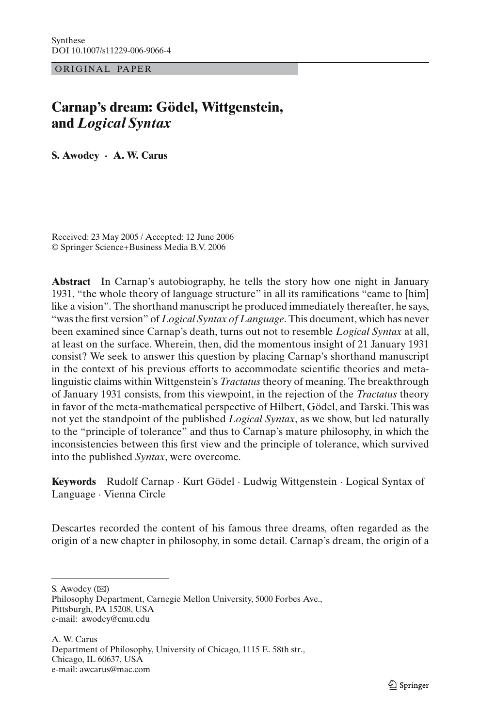OR IG INAL PAPER

# **Carnap's dream: Gödel, Wittgenstein, and** *Logical Syntax*

**S. Awodey · A. W. Carus**

Received: 23 May 2005 / Accepted: 12 June 2006 © Springer Science+Business Media B.V. 2006

**Abstract** In Carnap's autobiography, he tells the story how one night in January 1931, "the whole theory of language structure" in all its ramifications "came to [him] like a vision". The shorthand manuscript he produced immediately thereafter, he says, "was the first version" of *Logical Syntax of Language*. This document, which has never been examined since Carnap's death, turns out not to resemble *Logical Syntax* at all, at least on the surface. Wherein, then, did the momentous insight of 21 January 1931 consist? We seek to answer this question by placing Carnap's shorthand manuscript in the context of his previous efforts to accommodate scientific theories and metalinguistic claims within Wittgenstein's *Tractatus* theory of meaning. The breakthrough of January 1931 consists, from this viewpoint, in the rejection of the *Tractatus* theory in favor of the meta-mathematical perspective of Hilbert, Gödel, and Tarski. This was not yet the standpoint of the published *Logical Syntax*, as we show, but led naturally to the "principle of tolerance" and thus to Carnap's mature philosophy, in which the inconsistencies between this first view and the principle of tolerance, which survived into the published *Syntax*, were overcome.

**Keywords** Rudolf Carnap · Kurt Gödel · Ludwig Wittgenstein · Logical Syntax of Language · Vienna Circle

Descartes recorded the content of his famous three dreams, often regarded as the origin of a new chapter in philosophy, in some detail. Carnap's dream, the origin of a

S. Awodey  $(\boxtimes)$ 

Philosophy Department, Carnegie Mellon University, 5000 Forbes Ave., Pittsburgh, PA 15208, USA e-mail: awodey@cmu.edu

A. W. Carus Department of Philosophy, University of Chicago, 1115 E. 58th str., Chicago, IL 60637, USA e-mail: awcarus@mac.com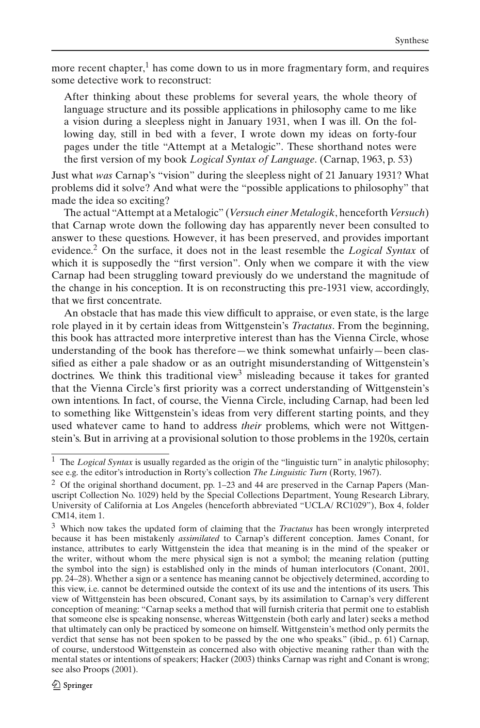more recent chapter, $<sup>1</sup>$  $<sup>1</sup>$  $<sup>1</sup>$  has come down to us in more fragmentary form, and requires</sup> some detective work to reconstruct:

After thinking about these problems for several years, the whole theory of language structure and its possible applications in philosophy came to me like a vision during a sleepless night in January 1931, when I was ill. On the following day, still in bed with a fever, I wrote down my ideas on forty-four pages under the title "Attempt at a Metalogic". These shorthand notes were the first version of my book *Logical Syntax of Language*. (Carnap, 1963, p. 53)

Just what *was* Carnap's "vision" during the sleepless night of 21 January 1931? What problems did it solve? And what were the "possible applications to philosophy" that made the idea so exciting?

The actual "Attempt at a Metalogic" (*Versuch einer Metalogik*, henceforth *Versuch*) that Carnap wrote down the following day has apparently never been consulted to answer to these questions. However, it has been preserved, and provides important evidence.[2](#page-1-1) On the surface, it does not in the least resemble the *Logical Syntax* of which it is supposedly the "first version". Only when we compare it with the view Carnap had been struggling toward previously do we understand the magnitude of the change in his conception. It is on reconstructing this pre-1931 view, accordingly, that we first concentrate.

An obstacle that has made this view difficult to appraise, or even state, is the large role played in it by certain ideas from Wittgenstein's *Tractatus*. From the beginning, this book has attracted more interpretive interest than has the Vienna Circle, whose understanding of the book has therefore—we think somewhat unfairly—been classified as either a pale shadow or as an outright misunderstanding of Wittgenstein's doctrines. We think this traditional view<sup>[3](#page-1-2)</sup> misleading because it takes for granted that the Vienna Circle's first priority was a correct understanding of Wittgenstein's own intentions. In fact, of course, the Vienna Circle, including Carnap, had been led to something like Wittgenstein's ideas from very different starting points, and they used whatever came to hand to address *their* problems, which were not Wittgenstein's. But in arriving at a provisional solution to those problems in the 1920s, certain

<span id="page-1-0"></span><sup>1</sup> The *Logical Syntax* is usually regarded as the origin of the "linguistic turn" in analytic philosophy; see e.g. the editor's introduction in Rorty's collection *The Linguistic Turn* (Rorty, 1967).

<span id="page-1-1"></span><sup>2</sup> Of the original shorthand document, pp. 1–23 and 44 are preserved in the Carnap Papers (Manuscript Collection No. 1029) held by the Special Collections Department, Young Research Library, University of California at Los Angeles (henceforth abbreviated "UCLA/ RC1029"), Box 4, folder CM14, item 1.

<span id="page-1-2"></span><sup>3</sup> Which now takes the updated form of claiming that the *Tractatus* has been wrongly interpreted because it has been mistakenly *assimilated* to Carnap's different conception. James Conant, for instance, attributes to early Wittgenstein the idea that meaning is in the mind of the speaker or the writer, without whom the mere physical sign is not a symbol; the meaning relation (putting the symbol into the sign) is established only in the minds of human interlocutors (Conant, 2001, pp. 24–28). Whether a sign or a sentence has meaning cannot be objectively determined, according to this view, i.e. cannot be determined outside the context of its use and the intentions of its users. This view of Wittgenstein has been obscured, Conant says, by its assimilation to Carnap's very different conception of meaning: "Carnap seeks a method that will furnish criteria that permit one to establish that someone else is speaking nonsense, whereas Wittgenstein (both early and later) seeks a method that ultimately can only be practiced by someone on himself. Wittgenstein's method only permits the verdict that sense has not been spoken to be passed by the one who speaks." (ibid., p. 61) Carnap, of course, understood Wittgenstein as concerned also with objective meaning rather than with the mental states or intentions of speakers; Hacker (2003) thinks Carnap was right and Conant is wrong; see also Proops (2001).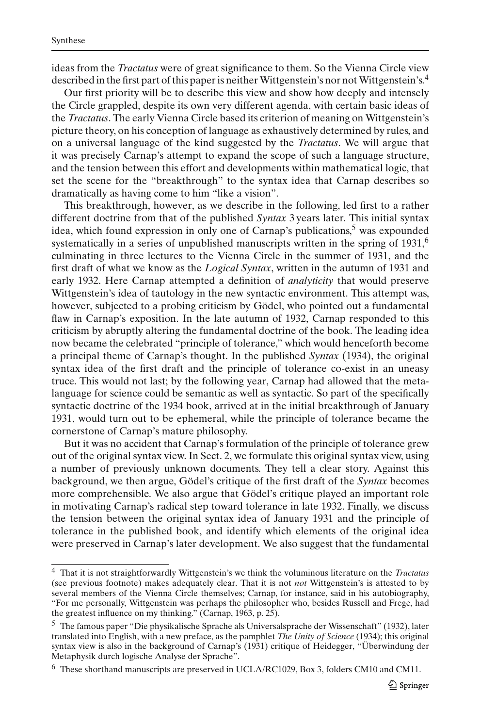ideas from the *Tractatus* were of great significance to them. So the Vienna Circle view described in the first part of this paper is neither Wittgenstein's nor not Wittgenstein's.<sup>[4](#page-2-0)</sup>

Our first priority will be to describe this view and show how deeply and intensely the Circle grappled, despite its own very different agenda, with certain basic ideas of the *Tractatus*. The early Vienna Circle based its criterion of meaning on Wittgenstein's picture theory, on his conception of language as exhaustively determined by rules, and on a universal language of the kind suggested by the *Tractatus*. We will argue that it was precisely Carnap's attempt to expand the scope of such a language structure, and the tension between this effort and developments within mathematical logic, that set the scene for the "breakthrough" to the syntax idea that Carnap describes so dramatically as having come to him "like a vision".

This breakthrough, however, as we describe in the following, led first to a rather different doctrine from that of the published *Syntax* 3 years later. This initial syntax idea, which found expression in only one of Carnap's publications, $<sup>5</sup>$  was expounded</sup> systematically in a series of unpublished manuscripts written in the spring of  $1931<sup>6</sup>$  $1931<sup>6</sup>$  $1931<sup>6</sup>$ culminating in three lectures to the Vienna Circle in the summer of 1931, and the first draft of what we know as the *Logical Syntax*, written in the autumn of 1931 and early 1932. Here Carnap attempted a definition of *analyticity* that would preserve Wittgenstein's idea of tautology in the new syntactic environment. This attempt was, however, subjected to a probing criticism by Gödel, who pointed out a fundamental flaw in Carnap's exposition. In the late autumn of 1932, Carnap responded to this criticism by abruptly altering the fundamental doctrine of the book. The leading idea now became the celebrated "principle of tolerance," which would henceforth become a principal theme of Carnap's thought. In the published *Syntax* (1934), the original syntax idea of the first draft and the principle of tolerance co-exist in an uneasy truce. This would not last; by the following year, Carnap had allowed that the metalanguage for science could be semantic as well as syntactic. So part of the specifically syntactic doctrine of the 1934 book, arrived at in the initial breakthrough of January 1931, would turn out to be ephemeral, while the principle of tolerance became the cornerstone of Carnap's mature philosophy.

But it was no accident that Carnap's formulation of the principle of tolerance grew out of the original syntax view. In Sect. 2, we formulate this original syntax view, using a number of previously unknown documents. They tell a clear story. Against this background, we then argue, Gödel's critique of the first draft of the *Syntax* becomes more comprehensible. We also argue that Gödel's critique played an important role in motivating Carnap's radical step toward tolerance in late 1932. Finally, we discuss the tension between the original syntax idea of January 1931 and the principle of tolerance in the published book, and identify which elements of the original idea were preserved in Carnap's later development. We also suggest that the fundamental

<span id="page-2-0"></span><sup>4</sup> That it is not straightforwardly Wittgenstein's we think the voluminous literature on the *Tractatus* (see previous footnote) makes adequately clear. That it is not *not* Wittgenstein's is attested to by several members of the Vienna Circle themselves; Carnap, for instance, said in his autobiography, "For me personally, Wittgenstein was perhaps the philosopher who, besides Russell and Frege, had the greatest influence on my thinking." (Carnap, 1963, p. 25).

<span id="page-2-1"></span><sup>5</sup> The famous paper "Die physikalische Sprache als Universalsprache der Wissenschaft" (1932), later translated into English, with a new preface, as the pamphlet *The Unity of Science* (1934); this original syntax view is also in the background of Carnap's (1931) critique of Heidegger, "Überwindung der Metaphysik durch logische Analyse der Sprache".

<span id="page-2-2"></span><sup>6</sup> These shorthand manuscripts are preserved in UCLA/RC1029, Box 3, folders CM10 and CM11.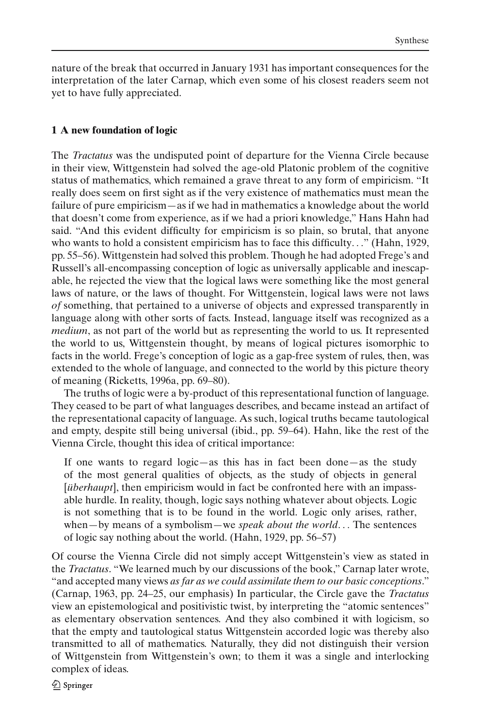nature of the break that occurred in January 1931 has important consequences for the interpretation of the later Carnap, which even some of his closest readers seem not yet to have fully appreciated.

### **1 A new foundation of logic**

The *Tractatus* was the undisputed point of departure for the Vienna Circle because in their view, Wittgenstein had solved the age-old Platonic problem of the cognitive status of mathematics, which remained a grave threat to any form of empiricism. "It really does seem on first sight as if the very existence of mathematics must mean the failure of pure empiricism—as if we had in mathematics a knowledge about the world that doesn't come from experience, as if we had a priori knowledge," Hans Hahn had said. "And this evident difficulty for empiricism is so plain, so brutal, that anyone who wants to hold a consistent empiricism has to face this difficulty*...*" (Hahn, 1929, pp. 55–56). Wittgenstein had solved this problem. Though he had adopted Frege's and Russell's all-encompassing conception of logic as universally applicable and inescapable, he rejected the view that the logical laws were something like the most general laws of nature, or the laws of thought. For Wittgenstein, logical laws were not laws *of* something, that pertained to a universe of objects and expressed transparently in language along with other sorts of facts. Instead, language itself was recognized as a *medium*, as not part of the world but as representing the world to us. It represented the world to us, Wittgenstein thought, by means of logical pictures isomorphic to facts in the world. Frege's conception of logic as a gap-free system of rules, then, was extended to the whole of language, and connected to the world by this picture theory of meaning (Ricketts, 1996a, pp. 69–80).

The truths of logic were a by-product of this representational function of language. They ceased to be part of what languages describes, and became instead an artifact of the representational capacity of language. As such, logical truths became tautological and empty, despite still being universal (ibid., pp. 59–64). Hahn, like the rest of the Vienna Circle, thought this idea of critical importance:

If one wants to regard logic—as this has in fact been done—as the study of the most general qualities of objects, as the study of objects in general [*überhaupt*], then empiricism would in fact be confronted here with an impassable hurdle. In reality, though, logic says nothing whatever about objects. Logic is not something that is to be found in the world. Logic only arises, rather, when—by means of a symbolism—we *speak about the world...* The sentences of logic say nothing about the world. (Hahn, 1929, pp. 56–57)

Of course the Vienna Circle did not simply accept Wittgenstein's view as stated in the *Tractatus*. "We learned much by our discussions of the book," Carnap later wrote, "and accepted many views *as far as we could assimilate them to our basic conceptions*." (Carnap, 1963, pp. 24–25, our emphasis) In particular, the Circle gave the *Tractatus* view an epistemological and positivistic twist, by interpreting the "atomic sentences" as elementary observation sentences. And they also combined it with logicism, so that the empty and tautological status Wittgenstein accorded logic was thereby also transmitted to all of mathematics. Naturally, they did not distinguish their version of Wittgenstein from Wittgenstein's own; to them it was a single and interlocking complex of ideas.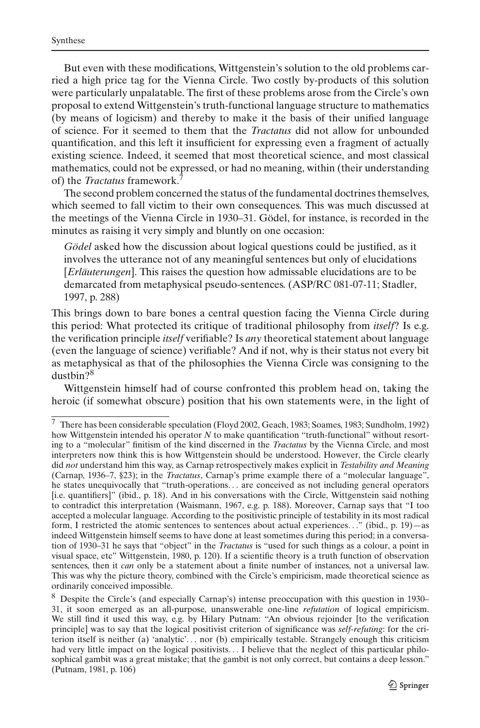But even with these modifications, Wittgenstein's solution to the old problems carried a high price tag for the Vienna Circle. Two costly by-products of this solution were particularly unpalatable. The first of these problems arose from the Circle's own proposal to extend Wittgenstein's truth-functional language structure to mathematics (by means of logicism) and thereby to make it the basis of their unified language of science. For it seemed to them that the *Tractatus* did not allow for unbounded quantification, and this left it insufficient for expressing even a fragment of actually existing science. Indeed, it seemed that most theoretical science, and most classical mathematics, could not be expressed, or had no meaning, within (their understanding of) the *Tractatus* framework[.7](#page-4-0)

The second problem concerned the status of the fundamental doctrines themselves, which seemed to fall victim to their own consequences. This was much discussed at the meetings of the Vienna Circle in 1930–31. Gödel, for instance, is recorded in the minutes as raising it very simply and bluntly on one occasion:

*Gödel* asked how the discussion about logical questions could be justified, as it involves the utterance not of any meaningful sentences but only of elucidations [*Erläuterungen*]. This raises the question how admissable elucidations are to be demarcated from metaphysical pseudo-sentences. (ASP/RC 081-07-11; Stadler, 1997, p. 288)

This brings down to bare bones a central question facing the Vienna Circle during this period: What protected its critique of traditional philosophy from *itself*? Is e.g. the verification principle *itself* verifiable? Is *any* theoretical statement about language (even the language of science) verifiable? And if not, why is their status not every bit as metaphysical as that of the philosophies the Vienna Circle was consigning to the dustbin?[8](#page-4-1)

Wittgenstein himself had of course confronted this problem head on, taking the heroic (if somewhat obscure) position that his own statements were, in the light of

<span id="page-4-0"></span><sup>7</sup> There has been considerable speculation (Floyd 2002, Geach, 1983; Soames, 1983; Sundholm, 1992) how Wittgenstein intended his operator *N* to make quantification "truth-functional" without resorting to a "molecular" finitism of the kind discerned in the *Tractatus* by the Vienna Circle, and most interpreters now think this is how Wittgenstein should be understood. However, the Circle clearly did *not* understand him this way, as Carnap retrospectively makes explicit in *Testability and Meaning* (Carnap, 1936–7, §23); in the *Tractatus*, Carnap's prime example there of a "molecular language", he states unequivocally that "truth-operations*...* are conceived as not including general operators [i.e. quantifiers]" (ibid., p. 18). And in his conversations with the Circle, Wittgenstein said nothing to contradict this interpretation (Waismann, 1967, e.g. p. 188). Moreover, Carnap says that "I too accepted a molecular language. According to the positivistic principle of testability in its most radical form, I restricted the atomic sentences to sentences about actual experiences*...*" (ibid., p. 19)—as indeed Wittgenstein himself seems to have done at least sometimes during this period; in a conversation of 1930–31 he says that "object" in the *Tractatus* is "used for such things as a colour, a point in visual space, etc" Wittgenstein, 1980, p. 120). If a scientific theory is a truth function of observation sentences, then it *can* only be a statement about a finite number of instances, not a universal law. This was why the picture theory, combined with the Circle's empiricism, made theoretical science as ordinarily conceived impossible.

<span id="page-4-1"></span><sup>8</sup> Despite the Circle's (and especially Carnap's) intense preoccupation with this question in 1930– 31, it soon emerged as an all-purpose, unanswerable one-line *refutation* of logical empiricism. We still find it used this way, e.g. by Hilary Putnam: "An obvious rejoinder [to the verification principle] was to say that the logical positivist criterion of significance was *self-refuting*: for the criterion itself is neither (a) 'analytic'*...* nor (b) empirically testable. Strangely enough this criticism had very little impact on the logical positivists*...* I believe that the neglect of this particular philosophical gambit was a great mistake; that the gambit is not only correct, but contains a deep lesson." (Putnam, 1981, p. 106)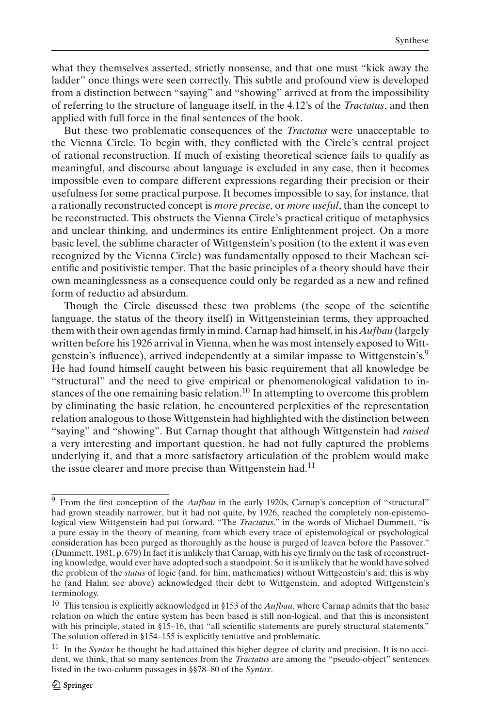what they themselves asserted, strictly nonsense, and that one must "kick away the ladder" once things were seen correctly. This subtle and profound view is developed from a distinction between "saying" and "showing" arrived at from the impossibility of referring to the structure of language itself, in the 4.12's of the *Tractatus*, and then applied with full force in the final sentences of the book.

But these two problematic consequences of the *Tractatus* were unacceptable to the Vienna Circle. To begin with, they conflicted with the Circle's central project of rational reconstruction. If much of existing theoretical science fails to qualify as meaningful, and discourse about language is excluded in any case, then it becomes impossible even to compare different expressions regarding their precision or their usefulness for some practical purpose. It becomes impossible to say, for instance, that a rationally reconstructed concept is *more precise*, or *more useful*, than the concept to be reconstructed. This obstructs the Vienna Circle's practical critique of metaphysics and unclear thinking, and undermines its entire Enlightenment project. On a more basic level, the sublime character of Wittgenstein's position (to the extent it was even recognized by the Vienna Circle) was fundamentally opposed to their Machean scientific and positivistic temper. That the basic principles of a theory should have their own meaninglessness as a consequence could only be regarded as a new and refined form of reductio ad absurdum.

Though the Circle discussed these two problems (the scope of the scientific language, the status of the theory itself) in Wittgensteinian terms, they approached them with their own agendas firmly in mind. Carnap had himself, in his *Aufbau* (largely written before his 1926 arrival in Vienna, when he was most intensely exposed to Wittgenstein's influence), arrived independently at a similar impasse to Wittgenstein's.<sup>9</sup> He had found himself caught between his basic requirement that all knowledge be "structural" and the need to give empirical or phenomenological validation to instances of the one remaining basic relation.<sup>10</sup> In attempting to overcome this problem by eliminating the basic relation, he encountered perplexities of the representation relation analogous to those Wittgenstein had highlighted with the distinction between "saying" and "showing". But Carnap thought that although Wittgenstein had *raised* a very interesting and important question, he had not fully captured the problems underlying it, and that a more satisfactory articulation of the problem would make the issue clearer and more precise than Wittgenstein had.<sup>11</sup>

<span id="page-5-0"></span><sup>9</sup> From the first conception of the *Aufbau* in the early 1920s, Carnap's conception of "structural" had grown steadily narrower, but it had not quite, by 1926, reached the completely non-epistemological view Wittgenstein had put forward. "The *Tractatus*," in the words of Michael Dummett, "is a pure essay in the theory of meaning, from which every trace of epistemological or psychological consideration has been purged as thoroughly as the house is purged of leaven before the Passover." (Dummett, 1981, p. 679) In fact it is unlikely that Carnap, with his eye firmly on the task of reconstructing knowledge, would ever have adopted such a standpoint. So it is unlikely that he would have solved the problem of the *status* of logic (and, for him, mathematics) without Wittgenstein's aid; this is why he (and Hahn; see above) acknowledged their debt to Wittgenstein, and adopted Wittgenstein's terminology.

<span id="page-5-1"></span><sup>10</sup> This tension is explicitly acknowledged in §153 of the *Aufbau*, where Carnap admits that the basic relation on which the entire system has been based is still non-logical, and that this is inconsistent with his principle, stated in §15–16, that "all scientific statements are purely structural statements." The solution offered in §154–155 is explicitly tentative and problematic.

<span id="page-5-2"></span><sup>&</sup>lt;sup>11</sup> In the *Syntax* he thought he had attained this higher degree of clarity and precision. It is no accident, we think, that so many sentences from the *Tractatus* are among the "pseudo-object" sentences listed in the two-column passages in §§78–80 of the *Syntax*.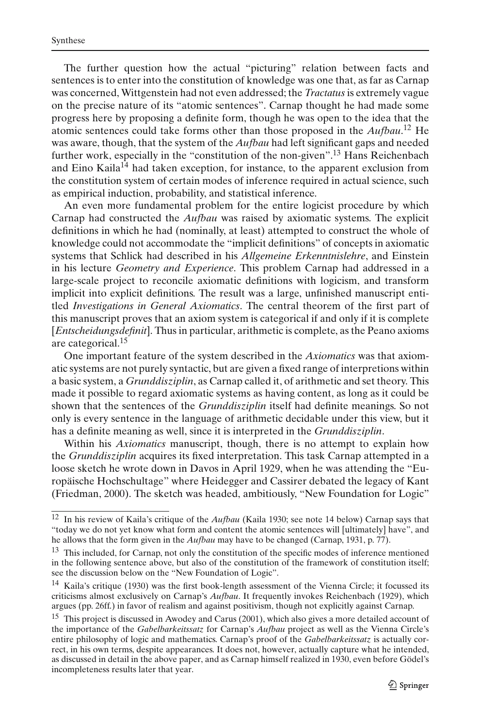The further question how the actual "picturing" relation between facts and sentences is to enter into the constitution of knowledge was one that, as far as Carnap was concerned, Wittgenstein had not even addressed; the *Tractatus*is extremely vague on the precise nature of its "atomic sentences". Carnap thought he had made some progress here by proposing a definite form, though he was open to the idea that the atomic sentences could take forms other than those proposed in the *Aufbau*. [12](#page-6-0) He was aware, though, that the system of the *Aufbau* had left significant gaps and needed further work, especially in the "constitution of the non-given"[.13](#page-6-1) Hans Reichenbach and Eino Kail $a^{14}$  $a^{14}$  $a^{14}$  had taken exception, for instance, to the apparent exclusion from the constitution system of certain modes of inference required in actual science, such as empirical induction, probability, and statistical inference.

An even more fundamental problem for the entire logicist procedure by which Carnap had constructed the *Aufbau* was raised by axiomatic systems. The explicit definitions in which he had (nominally, at least) attempted to construct the whole of knowledge could not accommodate the "implicit definitions" of concepts in axiomatic systems that Schlick had described in his *Allgemeine Erkenntnislehre*, and Einstein in his lecture *Geometry and Experience*. This problem Carnap had addressed in a large-scale project to reconcile axiomatic definitions with logicism, and transform implicit into explicit definitions. The result was a large, unfinished manuscript entitled *Investigations in General Axiomatics*. The central theorem of the first part of this manuscript proves that an axiom system is categorical if and only if it is complete [*Entscheidungsdefinit*]. Thus in particular, arithmetic is complete, as the Peano axioms are categorical.<sup>[15](#page-6-3)</sup>

One important feature of the system described in the *Axiomatics* was that axiomatic systems are not purely syntactic, but are given a fixed range of interpretions within a basic system, a *Grunddisziplin*, as Carnap called it, of arithmetic and set theory. This made it possible to regard axiomatic systems as having content, as long as it could be shown that the sentences of the *Grunddisziplin* itself had definite meanings. So not only is every sentence in the language of arithmetic decidable under this view, but it has a definite meaning as well, since it is interpreted in the *Grunddisziplin*.

Within his *Axiomatics* manuscript, though, there is no attempt to explain how the *Grunddisziplin* acquires its fixed interpretation. This task Carnap attempted in a loose sketch he wrote down in Davos in April 1929, when he was attending the "Europäische Hochschultage" where Heidegger and Cassirer debated the legacy of Kant (Friedman, 2000). The sketch was headed, ambitiously, "New Foundation for Logic"

<span id="page-6-0"></span><sup>12</sup> In his review of Kaila's critique of the *Aufbau* (Kaila 1930; see note 14 below) Carnap says that "today we do not yet know what form and content the atomic sentences will [ultimately] have", and he allows that the form given in the *Aufbau* may have to be changed (Carnap, 1931, p. 77).

<span id="page-6-1"></span><sup>&</sup>lt;sup>13</sup> This included, for Carnap, not only the constitution of the specific modes of inference mentioned in the following sentence above, but also of the constitution of the framework of constitution itself; see the discussion below on the "New Foundation of Logic".

<span id="page-6-2"></span><sup>&</sup>lt;sup>14</sup> Kaila's critique (1930) was the first book-length assessment of the Vienna Circle; it focussed its criticisms almost exclusively on Carnap's *Aufbau*. It frequently invokes Reichenbach (1929), which argues (pp. 26ff.) in favor of realism and against positivism, though not explicitly against Carnap.

<span id="page-6-3"></span><sup>&</sup>lt;sup>15</sup> This project is discussed in Awodey and Carus (2001), which also gives a more detailed account of the importance of the *Gabelbarkeitssatz* for Carnap's *Aufbau* project as well as the Vienna Circle's entire philosophy of logic and mathematics. Carnap's proof of the *Gabelbarkeitssatz* is actually correct, in his own terms, despite appearances. It does not, however, actually capture what he intended, as discussed in detail in the above paper, and as Carnap himself realized in 1930, even before Gödel's incompleteness results later that year.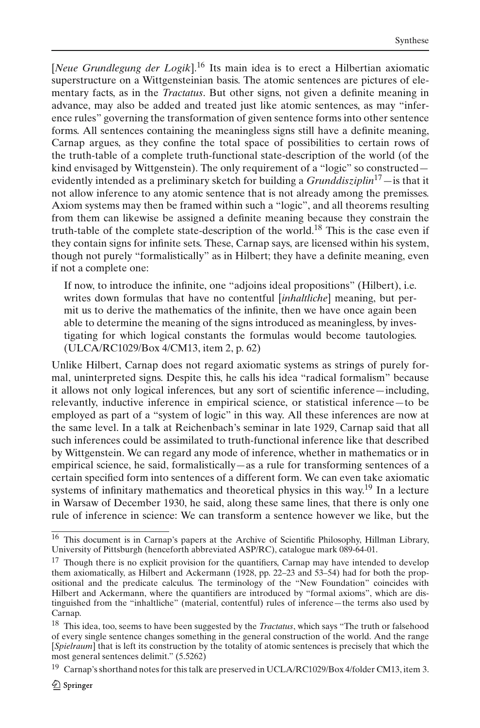[*Neue Grundlegung der Logik*].[16](#page-7-0) Its main idea is to erect a Hilbertian axiomatic superstructure on a Wittgensteinian basis. The atomic sentences are pictures of elementary facts, as in the *Tractatus*. But other signs, not given a definite meaning in advance, may also be added and treated just like atomic sentences, as may "inference rules" governing the transformation of given sentence forms into other sentence forms. All sentences containing the meaningless signs still have a definite meaning, Carnap argues, as they confine the total space of possibilities to certain rows of the truth-table of a complete truth-functional state-description of the world (of the kind envisaged by Wittgenstein). The only requirement of a "logic" so constructed evidently intended as a preliminary sketch for building a *Grunddisziplin*[17](#page-7-1)—is that it not allow inference to any atomic sentence that is not already among the premisses. Axiom systems may then be framed within such a "logic", and all theorems resulting from them can likewise be assigned a definite meaning because they constrain the truth-table of the complete state-description of the world.[18](#page-7-2) This is the case even if they contain signs for infinite sets. These, Carnap says, are licensed within his system, though not purely "formalistically" as in Hilbert; they have a definite meaning, even if not a complete one:

If now, to introduce the infinite, one "adjoins ideal propositions" (Hilbert), i.e. writes down formulas that have no contentful [*inhaltliche*] meaning, but permit us to derive the mathematics of the infinite, then we have once again been able to determine the meaning of the signs introduced as meaningless, by investigating for which logical constants the formulas would become tautologies. (ULCA/RC1029/Box 4/CM13, item 2, p. 62)

Unlike Hilbert, Carnap does not regard axiomatic systems as strings of purely formal, uninterpreted signs. Despite this, he calls his idea "radical formalism" because it allows not only logical inferences, but any sort of scientific inference—including, relevantly, inductive inference in empirical science, or statistical inference—to be employed as part of a "system of logic" in this way. All these inferences are now at the same level. In a talk at Reichenbach's seminar in late 1929, Carnap said that all such inferences could be assimilated to truth-functional inference like that described by Wittgenstein. We can regard any mode of inference, whether in mathematics or in empirical science, he said, formalistically—as a rule for transforming sentences of a certain specified form into sentences of a different form. We can even take axiomatic systems of infinitary mathematics and theoretical physics in this way.<sup>[19](#page-7-3)</sup> In a lecture in Warsaw of December 1930, he said, along these same lines, that there is only one rule of inference in science: We can transform a sentence however we like, but the

<span id="page-7-0"></span><sup>16</sup> This document is in Carnap's papers at the Archive of Scientific Philosophy, Hillman Library, University of Pittsburgh (henceforth abbreviated ASP/RC), catalogue mark 089-64-01.

<span id="page-7-1"></span><sup>&</sup>lt;sup>17</sup> Though there is no explicit provision for the quantifiers, Carnap may have intended to develop them axiomatically, as Hilbert and Ackermann (1928, pp. 22–23 and 53–54) had for both the propositional and the predicate calculus. The terminology of the "New Foundation" coincides with Hilbert and Ackermann, where the quantifiers are introduced by "formal axioms", which are distinguished from the "inhaltliche" (material, contentful) rules of inference—the terms also used by Carnap.

<span id="page-7-2"></span><sup>18</sup> This idea, too, seems to have been suggested by the *Tractatus*, which says "The truth or falsehood of every single sentence changes something in the general construction of the world. And the range [*Spielraum*] that is left its construction by the totality of atomic sentences is precisely that which the most general sentences delimit." (5.5262)

<span id="page-7-3"></span><sup>19</sup> Carnap's shorthand notes for this talk are preserved in UCLA/RC1029/Box 4/folder CM13, item 3.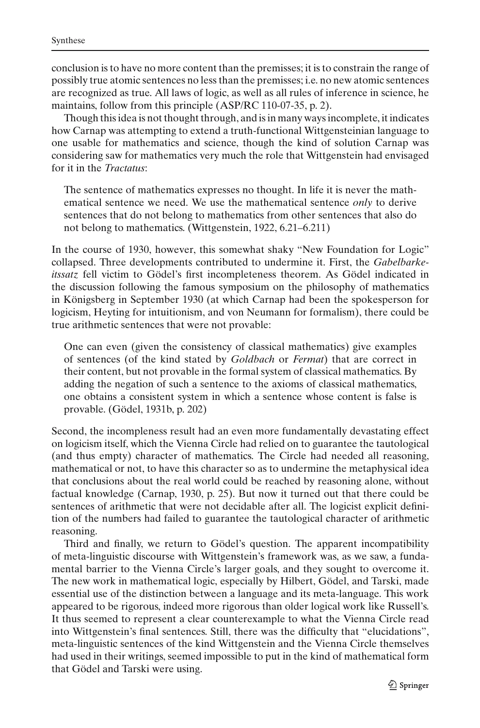conclusion is to have no more content than the premisses; it is to constrain the range of possibly true atomic sentences no less than the premisses; i.e. no new atomic sentences are recognized as true. All laws of logic, as well as all rules of inference in science, he maintains, follow from this principle (ASP/RC 110-07-35, p. 2).

Though this idea is not thought through, and is in many ways incomplete, it indicates how Carnap was attempting to extend a truth-functional Wittgensteinian language to one usable for mathematics and science, though the kind of solution Carnap was considering saw for mathematics very much the role that Wittgenstein had envisaged for it in the *Tractatus*:

The sentence of mathematics expresses no thought. In life it is never the mathematical sentence we need. We use the mathematical sentence *only* to derive sentences that do not belong to mathematics from other sentences that also do not belong to mathematics. (Wittgenstein, 1922, 6.21–6.211)

In the course of 1930, however, this somewhat shaky "New Foundation for Logic" collapsed. Three developments contributed to undermine it. First, the *Gabelbarkeitssatz* fell victim to Gödel's first incompleteness theorem. As Gödel indicated in the discussion following the famous symposium on the philosophy of mathematics in Königsberg in September 1930 (at which Carnap had been the spokesperson for logicism, Heyting for intuitionism, and von Neumann for formalism), there could be true arithmetic sentences that were not provable:

One can even (given the consistency of classical mathematics) give examples of sentences (of the kind stated by *Goldbach* or *Fermat*) that are correct in their content, but not provable in the formal system of classical mathematics. By adding the negation of such a sentence to the axioms of classical mathematics, one obtains a consistent system in which a sentence whose content is false is provable. (Gödel, 1931b, p. 202)

Second, the incompleness result had an even more fundamentally devastating effect on logicism itself, which the Vienna Circle had relied on to guarantee the tautological (and thus empty) character of mathematics. The Circle had needed all reasoning, mathematical or not, to have this character so as to undermine the metaphysical idea that conclusions about the real world could be reached by reasoning alone, without factual knowledge (Carnap, 1930, p. 25). But now it turned out that there could be sentences of arithmetic that were not decidable after all. The logicist explicit definition of the numbers had failed to guarantee the tautological character of arithmetic reasoning.

Third and finally, we return to Gödel's question. The apparent incompatibility of meta-linguistic discourse with Wittgenstein's framework was, as we saw, a fundamental barrier to the Vienna Circle's larger goals, and they sought to overcome it. The new work in mathematical logic, especially by Hilbert, Gödel, and Tarski, made essential use of the distinction between a language and its meta-language. This work appeared to be rigorous, indeed more rigorous than older logical work like Russell's. It thus seemed to represent a clear counterexample to what the Vienna Circle read into Wittgenstein's final sentences. Still, there was the difficulty that "elucidations", meta-linguistic sentences of the kind Wittgenstein and the Vienna Circle themselves had used in their writings, seemed impossible to put in the kind of mathematical form that Gödel and Tarski were using.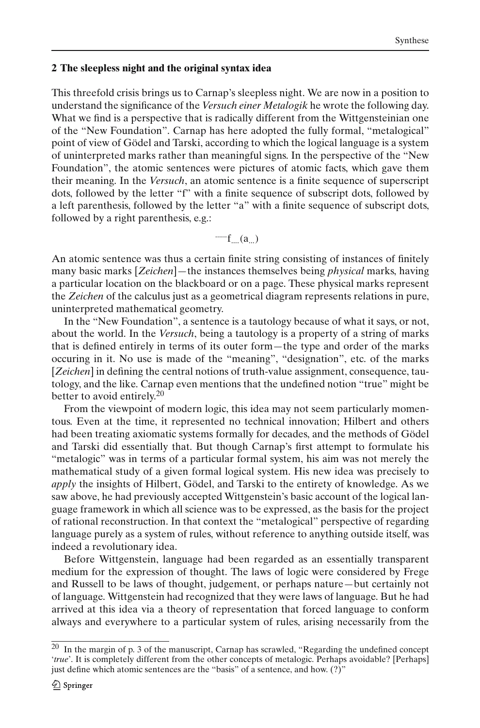## **2 The sleepless night and the original syntax idea**

This threefold crisis brings us to Carnap's sleepless night. We are now in a position to understand the significance of the *Versuch einer Metalogik* he wrote the following day. What we find is a perspective that is radically different from the Wittgensteinian one of the "New Foundation". Carnap has here adopted the fully formal, "metalogical" point of view of Gödel and Tarski, according to which the logical language is a system of uninterpreted marks rather than meaningful signs. In the perspective of the "New Foundation", the atomic sentences were pictures of atomic facts, which gave them their meaning. In the *Versuch*, an atomic sentence is a finite sequence of superscript dots, followed by the letter "f" with a finite sequence of subscript dots, followed by a left parenthesis, followed by the letter "a" with a finite sequence of subscript dots, followed by a right parenthesis, e.g.:

......f....*(*a...*)*

An atomic sentence was thus a certain finite string consisting of instances of finitely many basic marks [*Zeichen*]—the instances themselves being *physical* marks, having a particular location on the blackboard or on a page. These physical marks represent the *Zeichen* of the calculus just as a geometrical diagram represents relations in pure, uninterpreted mathematical geometry.

In the "New Foundation", a sentence is a tautology because of what it says, or not, about the world. In the *Versuch*, being a tautology is a property of a string of marks that is defined entirely in terms of its outer form—the type and order of the marks occuring in it. No use is made of the "meaning", "designation", etc. of the marks [*Zeichen*] in defining the central notions of truth-value assignment, consequence, tautology, and the like. Carnap even mentions that the undefined notion "true" might be better to avoid entirely.<sup>[20](#page-9-0)</sup>

From the viewpoint of modern logic, this idea may not seem particularly momentous. Even at the time, it represented no technical innovation; Hilbert and others had been treating axiomatic systems formally for decades, and the methods of Gödel and Tarski did essentially that. But though Carnap's first attempt to formulate his "metalogic" was in terms of a particular formal system, his aim was not merely the mathematical study of a given formal logical system. His new idea was precisely to *apply* the insights of Hilbert, Gödel, and Tarski to the entirety of knowledge. As we saw above, he had previously accepted Wittgenstein's basic account of the logical language framework in which all science was to be expressed, as the basis for the project of rational reconstruction. In that context the "metalogical" perspective of regarding language purely as a system of rules, without reference to anything outside itself, was indeed a revolutionary idea.

Before Wittgenstein, language had been regarded as an essentially transparent medium for the expression of thought. The laws of logic were considered by Frege and Russell to be laws of thought, judgement, or perhaps nature—but certainly not of language. Wittgenstein had recognized that they were laws of language. But he had arrived at this idea via a theory of representation that forced language to conform always and everywhere to a particular system of rules, arising necessarily from the

<span id="page-9-0"></span><sup>20</sup> In the margin of p. 3 of the manuscript, Carnap has scrawled, "Regarding the undefined concept *'true*'. It is completely different from the other concepts of metalogic. Perhaps avoidable? [Perhaps] just define which atomic sentences are the "basis" of a sentence, and how.  $(?)$ "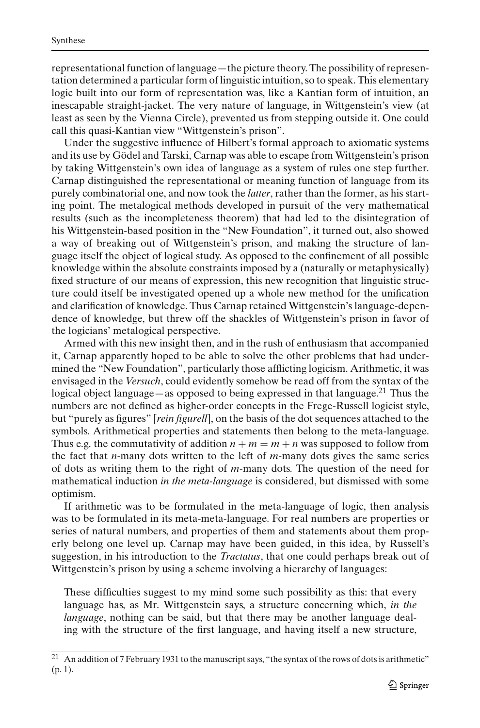representational function of language—the picture theory. The possibility of representation determined a particular form of linguistic intuition, so to speak. This elementary logic built into our form of representation was, like a Kantian form of intuition, an inescapable straight-jacket. The very nature of language, in Wittgenstein's view (at least as seen by the Vienna Circle), prevented us from stepping outside it. One could call this quasi-Kantian view "Wittgenstein's prison".

Under the suggestive influence of Hilbert's formal approach to axiomatic systems and its use by Gödel and Tarski, Carnap was able to escape from Wittgenstein's prison by taking Wittgenstein's own idea of language as a system of rules one step further. Carnap distinguished the representational or meaning function of language from its purely combinatorial one, and now took the *latter*, rather than the former, as his starting point. The metalogical methods developed in pursuit of the very mathematical results (such as the incompleteness theorem) that had led to the disintegration of his Wittgenstein-based position in the "New Foundation", it turned out, also showed a way of breaking out of Wittgenstein's prison, and making the structure of language itself the object of logical study. As opposed to the confinement of all possible knowledge within the absolute constraints imposed by a (naturally or metaphysically) fixed structure of our means of expression, this new recognition that linguistic structure could itself be investigated opened up a whole new method for the unification and clarification of knowledge. Thus Carnap retained Wittgenstein's language-dependence of knowledge, but threw off the shackles of Wittgenstein's prison in favor of the logicians' metalogical perspective.

Armed with this new insight then, and in the rush of enthusiasm that accompanied it, Carnap apparently hoped to be able to solve the other problems that had undermined the "New Foundation", particularly those afflicting logicism. Arithmetic, it was envisaged in the *Versuch*, could evidently somehow be read off from the syntax of the logical object language—as opposed to being expressed in that language.[21](#page-10-0) Thus the numbers are not defined as higher-order concepts in the Frege-Russell logicist style, but "purely as figures" [*rein figurell*], on the basis of the dot sequences attached to the symbols. Arithmetical properties and statements then belong to the meta-language. Thus e.g. the commutativity of addition  $n + m = m + n$  was supposed to follow from the fact that *n*-many dots written to the left of *m*-many dots gives the same series of dots as writing them to the right of *m*-many dots. The question of the need for mathematical induction *in the meta-language* is considered, but dismissed with some optimism.

If arithmetic was to be formulated in the meta-language of logic, then analysis was to be formulated in its meta-meta-language. For real numbers are properties or series of natural numbers, and properties of them and statements about them properly belong one level up. Carnap may have been guided, in this idea, by Russell's suggestion, in his introduction to the *Tractatus*, that one could perhaps break out of Wittgenstein's prison by using a scheme involving a hierarchy of languages:

These difficulties suggest to my mind some such possibility as this: that every language has, as Mr. Wittgenstein says, a structure concerning which, *in the language*, nothing can be said, but that there may be another language dealing with the structure of the first language, and having itself a new structure,

<span id="page-10-0"></span><sup>&</sup>lt;sup>21</sup> An addition of 7 February 1931 to the manuscript says, "the syntax of the rows of dots is arithmetic" (p. 1).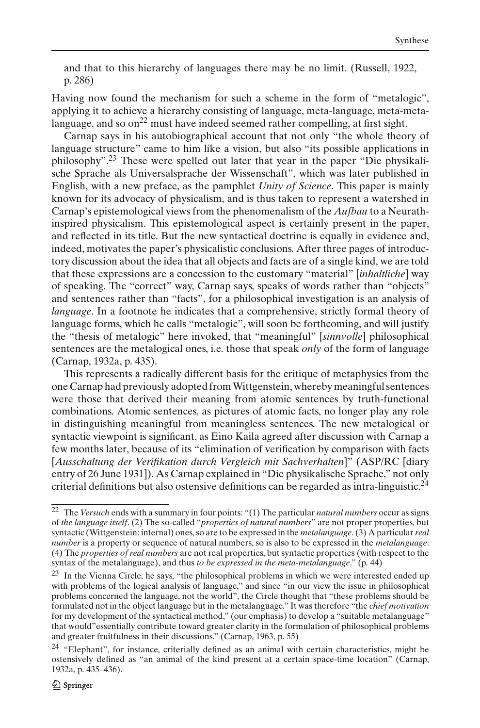and that to this hierarchy of languages there may be no limit. (Russell, 1922, p. 286)

Having now found the mechanism for such a scheme in the form of "metalogic", applying it to achieve a hierarchy consisting of language, meta-language, meta-metalanguage, and so on<sup>22</sup> must have indeed seemed rather compelling, at first sight.

Carnap says in his autobiographical account that not only "the whole theory of language structure" came to him like a vision, but also "its possible applications in philosophy".[23](#page-11-1) These were spelled out later that year in the paper "Die physikalische Sprache als Universalsprache der Wissenschaft", which was later published in English, with a new preface, as the pamphlet *Unity of Science*. This paper is mainly known for its advocacy of physicalism, and is thus taken to represent a watershed in Carnap's epistemological views from the phenomenalism of the *Aufbau* to a Neurathinspired physicalism. This epistemological aspect is certainly present in the paper, and reflected in its title. But the new syntactical doctrine is equally in evidence and, indeed, motivates the paper's physicalistic conclusions. After three pages of introductory discussion about the idea that all objects and facts are of a single kind, we are told that these expressions are a concession to the customary "material" [*inhaltliche*] way of speaking. The "correct" way, Carnap says, speaks of words rather than "objects" and sentences rather than "facts", for a philosophical investigation is an analysis of *language*. In a footnote he indicates that a comprehensive, strictly formal theory of language forms, which he calls "metalogic", will soon be forthcoming, and will justify the "thesis of metalogic" here invoked, that "meaningful" [*sinnvolle*] philosophical sentences are the metalogical ones, i.e. those that speak *only* of the form of language (Carnap, 1932a, p. 435).

This represents a radically different basis for the critique of metaphysics from the one Carnap had previously adopted fromWittgenstein, whereby meaningful sentences were those that derived their meaning from atomic sentences by truth-functional combinations. Atomic sentences, as pictures of atomic facts, no longer play any role in distinguishing meaningful from meaningless sentences. The new metalogical or syntactic viewpoint is significant, as Eino Kaila agreed after discussion with Carnap a few months later, because of its "elimination of verification by comparison with facts [*Ausschaltung der Verifikation durch Vergleich mit Sachverhalten*]" (ASP/RC [diary entry of 26 June 1931]). As Carnap explained in "Die physikalische Sprache," not only criterial definitions but also ostensive definitions can be regarded as intra-linguistic.<sup>[24](#page-11-2)</sup>

<span id="page-11-0"></span><sup>22</sup> The *Versuch* ends with a summary in four points: "(1) The particular *natural numbers* occur as signs of *the language itself*. (2) The so-called "*properties of natural numbers*" are not proper properties, but syntactic (Wittgenstein: internal) ones, so are to be expressed in the *metalanguage*. (3) A particular*real number* is a property or sequence of natural numbers, so is also to be expressed in the *metalanguage*. (4) The *properties of real numbers* are not real properties, but syntactic properties (with respect to the syntax of the metalanguage), and thus *to be expressed in the meta-metalanguage*." (p. 44)

<span id="page-11-1"></span><sup>&</sup>lt;sup>23</sup> In the Vienna Circle, he says, "the philosophical problems in which we were interested ended up with problems of the logical analysis of language," and since "in our view the issue in philosophical problems concerned the language, not the world", the Circle thought that "these problems should be formulated not in the object language but in the metalanguage." It was therefore "the *chief motivation* for my development of the syntactical method," (our emphasis) to develop a "suitable metalanguage" that would"essentially contribute toward greater clarity in the formulation of philosophical problems and greater fruitfulness in their discussions." (Carnap, 1963, p. 55)

<span id="page-11-2"></span><sup>&</sup>lt;sup>24</sup> "Elephant", for instance, criterially defined as an animal with certain characteristics, might be ostensively defined as "an animal of the kind present at a certain space-time location" (Carnap, 1932a, p. 435–436).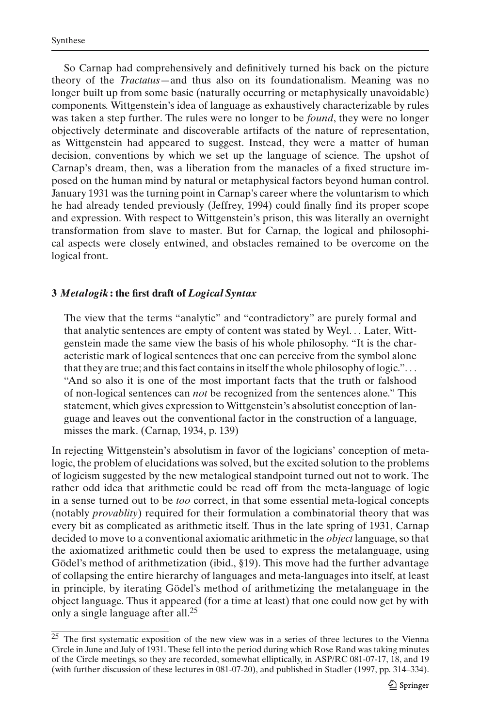So Carnap had comprehensively and definitively turned his back on the picture theory of the *Tractatus*—and thus also on its foundationalism. Meaning was no longer built up from some basic (naturally occurring or metaphysically unavoidable) components. Wittgenstein's idea of language as exhaustively characterizable by rules was taken a step further. The rules were no longer to be *found*, they were no longer objectively determinate and discoverable artifacts of the nature of representation, as Wittgenstein had appeared to suggest. Instead, they were a matter of human decision, conventions by which we set up the language of science. The upshot of Carnap's dream, then, was a liberation from the manacles of a fixed structure imposed on the human mind by natural or metaphysical factors beyond human control. January 1931 was the turning point in Carnap's career where the voluntarism to which he had already tended previously (Jeffrey, 1994) could finally find its proper scope and expression. With respect to Wittgenstein's prison, this was literally an overnight transformation from slave to master. But for Carnap, the logical and philosophical aspects were closely entwined, and obstacles remained to be overcome on the logical front.

## **3** *Metalogik* **: the first draft of** *Logical Syntax*

The view that the terms "analytic" and "contradictory" are purely formal and that analytic sentences are empty of content was stated by Weyl*...* Later, Wittgenstein made the same view the basis of his whole philosophy. "It is the characteristic mark of logical sentences that one can perceive from the symbol alone that they are true; and this fact contains in itself the whole philosophy of logic."*...* "And so also it is one of the most important facts that the truth or falshood of non-logical sentences can *not* be recognized from the sentences alone." This statement, which gives expression to Wittgenstein's absolutist conception of language and leaves out the conventional factor in the construction of a language, misses the mark. (Carnap, 1934, p. 139)

In rejecting Wittgenstein's absolutism in favor of the logicians' conception of metalogic, the problem of elucidations was solved, but the excited solution to the problems of logicism suggested by the new metalogical standpoint turned out not to work. The rather odd idea that arithmetic could be read off from the meta-language of logic in a sense turned out to be *too* correct, in that some essential meta-logical concepts (notably *provablity*) required for their formulation a combinatorial theory that was every bit as complicated as arithmetic itself. Thus in the late spring of 1931, Carnap decided to move to a conventional axiomatic arithmetic in the *object* language, so that the axiomatized arithmetic could then be used to express the metalanguage, using Gödel's method of arithmetization (ibid., §19). This move had the further advantage of collapsing the entire hierarchy of languages and meta-languages into itself, at least in principle, by iterating Gödel's method of arithmetizing the metalanguage in the object language. Thus it appeared (for a time at least) that one could now get by with only a single language after all.<sup>[25](#page-12-0)</sup>

<span id="page-12-0"></span> $25$  The first systematic exposition of the new view was in a series of three lectures to the Vienna Circle in June and July of 1931. These fell into the period during which Rose Rand was taking minutes of the Circle meetings, so they are recorded, somewhat elliptically, in ASP/RC 081-07-17, 18, and 19 (with further discussion of these lectures in 081-07-20), and published in Stadler (1997, pp. 314–334).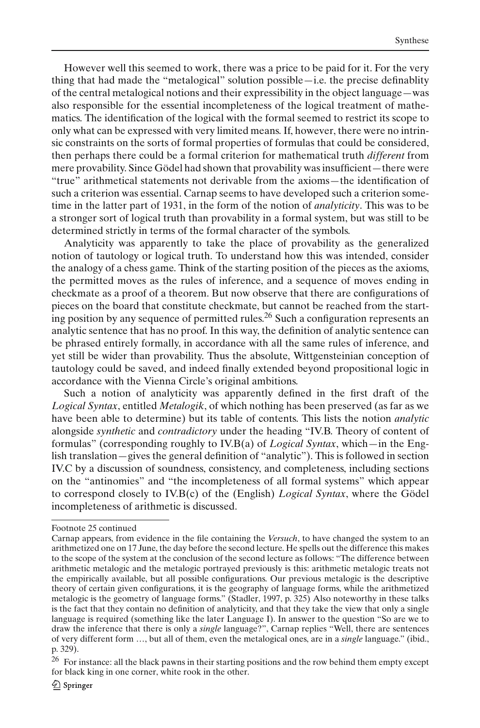However well this seemed to work, there was a price to be paid for it. For the very thing that had made the "metalogical" solution possible—i.e. the precise definablity of the central metalogical notions and their expressibility in the object language—was also responsible for the essential incompleteness of the logical treatment of mathematics. The identification of the logical with the formal seemed to restrict its scope to only what can be expressed with very limited means. If, however, there were no intrinsic constraints on the sorts of formal properties of formulas that could be considered, then perhaps there could be a formal criterion for mathematical truth *different* from mere provability. Since Gödel had shown that provability was insufficient—there were "true" arithmetical statements not derivable from the axioms—the identification of such a criterion was essential. Carnap seems to have developed such a criterion sometime in the latter part of 1931, in the form of the notion of *analyticity*. This was to be a stronger sort of logical truth than provability in a formal system, but was still to be determined strictly in terms of the formal character of the symbols.

Analyticity was apparently to take the place of provability as the generalized notion of tautology or logical truth. To understand how this was intended, consider the analogy of a chess game. Think of the starting position of the pieces as the axioms, the permitted moves as the rules of inference, and a sequence of moves ending in checkmate as a proof of a theorem. But now observe that there are configurations of pieces on the board that constitute checkmate, but cannot be reached from the starting position by any sequence of permitted rules.<sup>26</sup> Such a configuration represents an analytic sentence that has no proof. In this way, the definition of analytic sentence can be phrased entirely formally, in accordance with all the same rules of inference, and yet still be wider than provability. Thus the absolute, Wittgensteinian conception of tautology could be saved, and indeed finally extended beyond propositional logic in accordance with the Vienna Circle's original ambitions.

Such a notion of analyticity was apparently defined in the first draft of the *Logical Syntax*, entitled *Metalogik*, of which nothing has been preserved (as far as we have been able to determine) but its table of contents. This lists the notion *analytic* alongside *synthetic* and *contradictory* under the heading "IV.B. Theory of content of formulas" (corresponding roughly to IV.B(a) of *Logical Syntax*, which—in the English translation—gives the general definition of "analytic"). This is followed in section IV.C by a discussion of soundness, consistency, and completeness, including sections on the "antinomies" and "the incompleteness of all formal systems" which appear to correspond closely to IV.B(c) of the (English) *Logical Syntax*, where the Gödel incompleteness of arithmetic is discussed.

Footnote 25 continued

Carnap appears, from evidence in the file containing the *Versuch*, to have changed the system to an arithmetized one on 17 June, the day before the second lecture. He spells out the difference this makes to the scope of the system at the conclusion of the second lecture as follows: "The difference between arithmetic metalogic and the metalogic portrayed previously is this: arithmetic metalogic treats not the empirically available, but all possible configurations. Our previous metalogic is the descriptive theory of certain given configurations, it is the geography of language forms, while the arithmetized metalogic is the geometry of language forms." (Stadler, 1997, p. 325) Also noteworthy in these talks is the fact that they contain no definition of analyticity, and that they take the view that only a single language is required (something like the later Language I). In answer to the question "So are we to draw the inference that there is only a *single* language?", Carnap replies "Well, there are sentences of very different form …, but all of them, even the metalogical ones, are in a *single* language." (ibid., p. 329).

<span id="page-13-0"></span><sup>26</sup> For instance: all the black pawns in their starting positions and the row behind them empty except for black king in one corner, white rook in the other.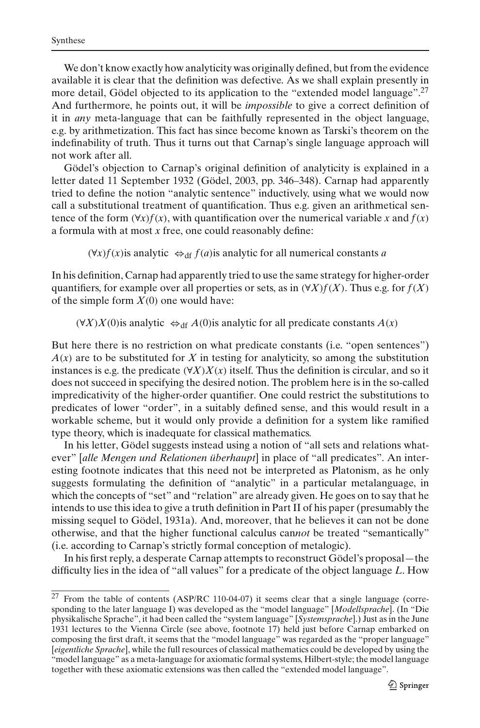We don't know exactly how analyticity was originally defined, but from the evidence available it is clear that the definition was defective. As we shall explain presently in more detail, Gödel objected to its application to the "extended model language".<sup>[27](#page-14-0)</sup> And furthermore, he points out, it will be *impossible* to give a correct definition of it in *any* meta-language that can be faithfully represented in the object language, e.g. by arithmetization. This fact has since become known as Tarski's theorem on the indefinability of truth. Thus it turns out that Carnap's single language approach will not work after all.

Gödel's objection to Carnap's original definition of analyticity is explained in a letter dated 11 September 1932 (Gödel, 2003, pp. 346–348). Carnap had apparently tried to define the notion "analytic sentence" inductively, using what we would now call a substitutional treatment of quantification. Thus e.g. given an arithmetical sentence of the form  $(\forall x) f(x)$ , with quantification over the numerical variable *x* and  $f(x)$ a formula with at most *x* free, one could reasonably define:

 $(\forall x) f(x)$  is analytic  $\Leftrightarrow_{df} f(a)$  is analytic for all numerical constants *a* 

In his definition, Carnap had apparently tried to use the same strategy for higher-order quantifiers, for example over all properties or sets, as in  $(\forall X)f(X)$ . Thus e.g. for  $f(X)$ of the simple form *X(*0*)* one would have:

 $(∀X)X(0)$ is analytic  $⇔_{df} A(0)$ is analytic for all predicate constants *A*(*x*)

But here there is no restriction on what predicate constants (i.e. "open sentences")  $A(x)$  are to be substituted for *X* in testing for analyticity, so among the substitution instances is e.g. the predicate  $(\forall X)X(x)$  itself. Thus the definition is circular, and so it does not succeed in specifying the desired notion. The problem here is in the so-called impredicativity of the higher-order quantifier. One could restrict the substitutions to predicates of lower "order", in a suitably defined sense, and this would result in a workable scheme, but it would only provide a definition for a system like ramified type theory, which is inadequate for classical mathematics.

In his letter, Gödel suggests instead using a notion of "all sets and relations whatever" [*alle Mengen und Relationen überhaupt*] in place of "all predicates". An interesting footnote indicates that this need not be interpreted as Platonism, as he only suggests formulating the definition of "analytic" in a particular metalanguage, in which the concepts of "set" and "relation" are already given. He goes on to say that he intends to use this idea to give a truth definition in Part II of his paper (presumably the missing sequel to Gödel, 1931a). And, moreover, that he believes it can not be done otherwise, and that the higher functional calculus can*not* be treated "semantically" (i.e. according to Carnap's strictly formal conception of metalogic).

In his first reply, a desperate Carnap attempts to reconstruct Gödel's proposal—the difficulty lies in the idea of "all values" for a predicate of the object language *L*. How

<span id="page-14-0"></span><sup>27</sup> From the table of contents (ASP/RC 110-04-07) it seems clear that a single language (corresponding to the later language I) was developed as the "model language" [*Modellsprache*]. (In "Die physikalische Sprache", it had been called the "system language" [*Systemsprache*].) Just as in the June 1931 lectures to the Vienna Circle (see above, footnote 17) held just before Carnap embarked on composing the first draft, it seems that the "model language" was regarded as the "proper language" [*eigentliche Sprache*], while the full resources of classical mathematics could be developed by using the "model language" as a meta-language for axiomatic formal systems, Hilbert-style; the model language together with these axiomatic extensions was then called the "extended model language".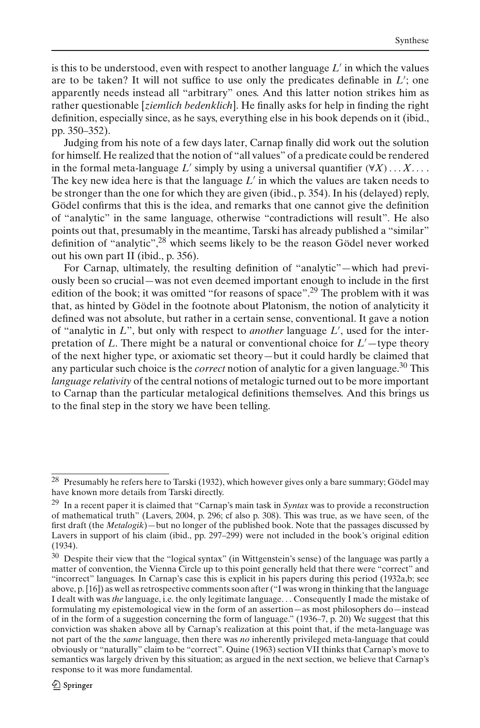is this to be understood, even with respect to another language  $L'$  in which the values are to be taken? It will not suffice to use only the predicates definable in *L* ; one apparently needs instead all "arbitrary" ones. And this latter notion strikes him as rather questionable [*ziemlich bedenklich*]. He finally asks for help in finding the right definition, especially since, as he says, everything else in his book depends on it (ibid., pp. 350–352).

Judging from his note of a few days later, Carnap finally did work out the solution for himself. He realized that the notion of "all values" of a predicate could be rendered in the formal meta-language  $L'$  simply by using a universal quantifier  $(\forall X) \dots X$ ... The key new idea here is that the language *L* in which the values are taken needs to be stronger than the one for which they are given (ibid., p. 354). In his (delayed) reply, Gödel confirms that this is the idea, and remarks that one cannot give the definition of "analytic" in the same language, otherwise "contradictions will result". He also points out that, presumably in the meantime, Tarski has already published a "similar" definition of "analytic",<sup>28</sup> which seems likely to be the reason Gödel never worked out his own part II (ibid., p. 356).

For Carnap, ultimately, the resulting definition of "analytic"—which had previously been so crucial—was not even deemed important enough to include in the first edition of the book; it was omitted "for reasons of space".<sup>29</sup> The problem with it was that, as hinted by Gödel in the footnote about Platonism, the notion of analyticity it defined was not absolute, but rather in a certain sense, conventional. It gave a notion of "analytic in *L*", but only with respect to *another* language *L* , used for the interpretation of *L*. There might be a natural or conventional choice for *L* —type theory of the next higher type, or axiomatic set theory—but it could hardly be claimed that any particular such choice is the *correct* notion of analytic for a given language[.30](#page-15-2) This *language relativity* of the central notions of metalogic turned out to be more important to Carnap than the particular metalogical definitions themselves. And this brings us to the final step in the story we have been telling.

<span id="page-15-0"></span><sup>28</sup> Presumably he refers here to Tarski (1932), which however gives only a bare summary; Gödel may have known more details from Tarski directly.

<span id="page-15-1"></span><sup>29</sup> In a recent paper it is claimed that "Carnap's main task in *Syntax* was to provide a reconstruction of mathematical truth" (Lavers, 2004, p. 296; cf also p. 308). This was true, as we have seen, of the first draft (the *Metalogik*)—but no longer of the published book. Note that the passages discussed by Lavers in support of his claim (ibid., pp. 297–299) were not included in the book's original edition (1934).

<span id="page-15-2"></span><sup>30</sup> Despite their view that the "logical syntax" (in Wittgenstein's sense) of the language was partly a matter of convention, the Vienna Circle up to this point generally held that there were "correct" and "incorrect" languages. In Carnap's case this is explicit in his papers during this period (1932a,b; see above, p. [16]) as well as retrospective comments soon after ("I was wrong in thinking that the language I dealt with was *the* language, i.e. the only legitimate language*...* Consequently I made the mistake of formulating my epistemological view in the form of an assertion—as most philosophers do—instead of in the form of a suggestion concerning the form of language." (1936–7, p. 20) We suggest that this conviction was shaken above all by Carnap's realization at this point that, if the meta-language was not part of the the *same* language, then there was *no* inherently privileged meta-language that could obviously or "naturally" claim to be "correct". Quine (1963) section VII thinks that Carnap's move to semantics was largely driven by this situation; as argued in the next section, we believe that Carnap's response to it was more fundamental.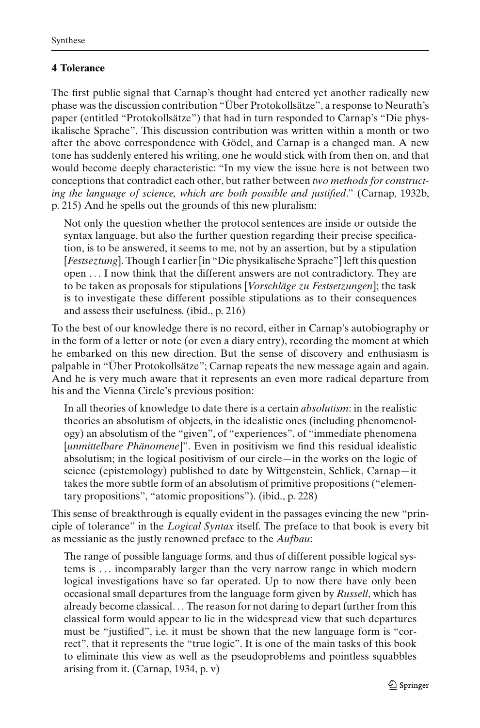## **4 Tolerance**

The first public signal that Carnap's thought had entered yet another radically new phase was the discussion contribution "Über Protokollsätze", a response to Neurath's paper (entitled "Protokollsätze") that had in turn responded to Carnap's "Die physikalische Sprache". This discussion contribution was written within a month or two after the above correspondence with Gödel, and Carnap is a changed man. A new tone has suddenly entered his writing, one he would stick with from then on, and that would become deeply characteristic: "In my view the issue here is not between two conceptions that contradict each other, but rather between *two methods for constructing the language of science, which are both possible and justified*." (Carnap, 1932b, p. 215) And he spells out the grounds of this new pluralism:

Not only the question whether the protocol sentences are inside or outside the syntax language, but also the further question regarding their precise specification, is to be answered, it seems to me, not by an assertion, but by a stipulation [*Festseztung*]. Though I earlier [in "Die physikalische Sprache"] left this question open *...* I now think that the different answers are not contradictory. They are to be taken as proposals for stipulations [*Vorschläge zu Festsetzungen*]; the task is to investigate these different possible stipulations as to their consequences and assess their usefulness. (ibid., p. 216)

To the best of our knowledge there is no record, either in Carnap's autobiography or in the form of a letter or note (or even a diary entry), recording the moment at which he embarked on this new direction. But the sense of discovery and enthusiasm is palpable in "Über Protokollsätze"; Carnap repeats the new message again and again. And he is very much aware that it represents an even more radical departure from his and the Vienna Circle's previous position:

In all theories of knowledge to date there is a certain *absolutism*: in the realistic theories an absolutism of objects, in the idealistic ones (including phenomenology) an absolutism of the "given", of "experiences", of "immediate phenomena [*unmittelbare Phänomene*]". Even in positivism we find this residual idealistic absolutism; in the logical positivism of our circle—in the works on the logic of science (epistemology) published to date by Wittgenstein, Schlick, Carnap—it takes the more subtle form of an absolutism of primitive propositions ("elementary propositions", "atomic propositions"). (ibid., p. 228)

This sense of breakthrough is equally evident in the passages evincing the new "principle of tolerance" in the *Logical Syntax* itself. The preface to that book is every bit as messianic as the justly renowned preface to the *Aufbau*:

The range of possible language forms, and thus of different possible logical systems is *...* incomparably larger than the very narrow range in which modern logical investigations have so far operated. Up to now there have only been occasional small departures from the language form given by *Russell*, which has already become classical*...* The reason for not daring to depart further from this classical form would appear to lie in the widespread view that such departures must be "justified", i.e. it must be shown that the new language form is "correct", that it represents the "true logic". It is one of the main tasks of this book to eliminate this view as well as the pseudoproblems and pointless squabbles arising from it. (Carnap, 1934, p. v)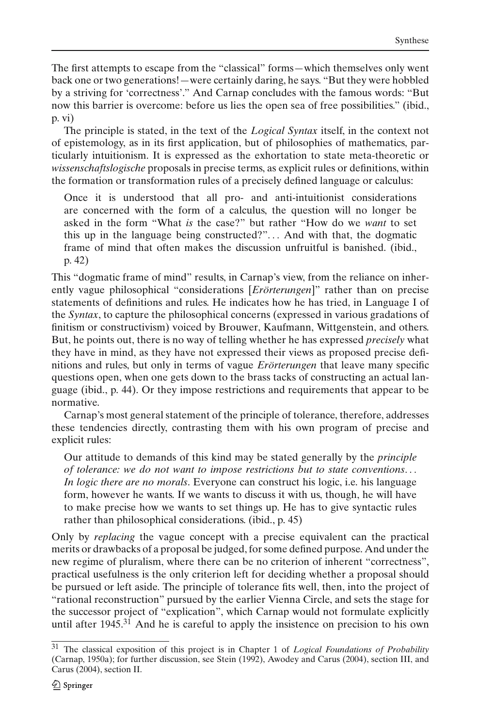The first attempts to escape from the "classical" forms—which themselves only went back one or two generations!—were certainly daring, he says. "But they were hobbled by a striving for 'correctness'." And Carnap concludes with the famous words: "But now this barrier is overcome: before us lies the open sea of free possibilities." (ibid., p. vi)

The principle is stated, in the text of the *Logical Syntax* itself, in the context not of epistemology, as in its first application, but of philosophies of mathematics, particularly intuitionism. It is expressed as the exhortation to state meta-theoretic or *wissenschaftslogische* proposals in precise terms, as explicit rules or definitions, within the formation or transformation rules of a precisely defined language or calculus:

Once it is understood that all pro- and anti-intuitionist considerations are concerned with the form of a calculus, the question will no longer be asked in the form "What *is* the case?" but rather "How do we *want* to set this up in the language being constructed?"*...* And with that, the dogmatic frame of mind that often makes the discussion unfruitful is banished. (ibid., p. 42)

This "dogmatic frame of mind" results, in Carnap's view, from the reliance on inherently vague philosophical "considerations [*Erörterungen*]" rather than on precise statements of definitions and rules. He indicates how he has tried, in Language I of the *Syntax*, to capture the philosophical concerns (expressed in various gradations of finitism or constructivism) voiced by Brouwer, Kaufmann, Wittgenstein, and others. But, he points out, there is no way of telling whether he has expressed *precisely* what they have in mind, as they have not expressed their views as proposed precise definitions and rules, but only in terms of vague *Erörterungen* that leave many specific questions open, when one gets down to the brass tacks of constructing an actual language (ibid., p. 44). Or they impose restrictions and requirements that appear to be normative.

Carnap's most general statement of the principle of tolerance, therefore, addresses these tendencies directly, contrasting them with his own program of precise and explicit rules:

Our attitude to demands of this kind may be stated generally by the *principle of tolerance: we do not want to impose restrictions but to state conventions... In logic there are no morals*. Everyone can construct his logic, i.e. his language form, however he wants. If we wants to discuss it with us, though, he will have to make precise how we wants to set things up. He has to give syntactic rules rather than philosophical considerations. (ibid., p. 45)

Only by *replacing* the vague concept with a precise equivalent can the practical merits or drawbacks of a proposal be judged, for some defined purpose. And under the new regime of pluralism, where there can be no criterion of inherent "correctness", practical usefulness is the only criterion left for deciding whether a proposal should be pursued or left aside. The principle of tolerance fits well, then, into the project of "rational reconstruction" pursued by the earlier Vienna Circle, and sets the stage for the successor project of "explication", which Carnap would not formulate explicitly until after  $1945<sup>31</sup>$  And he is careful to apply the insistence on precision to his own

<span id="page-17-0"></span><sup>31</sup> The classical exposition of this project is in Chapter 1 of *Logical Foundations of Probability* (Carnap, 1950a); for further discussion, see Stein (1992), Awodey and Carus (2004), section III, and Carus (2004), section II.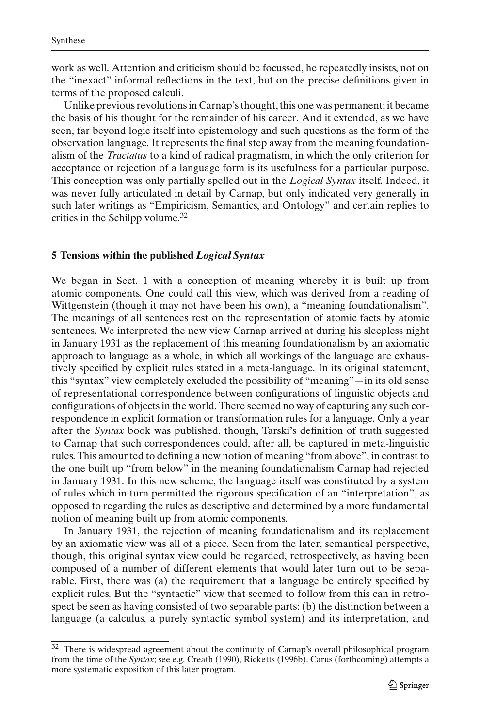work as well. Attention and criticism should be focussed, he repeatedly insists, not on the "inexact" informal reflections in the text, but on the precise definitions given in terms of the proposed calculi.

Unlike previous revolutions in Carnap's thought, this one was permanent; it became the basis of his thought for the remainder of his career. And it extended, as we have seen, far beyond logic itself into epistemology and such questions as the form of the observation language. It represents the final step away from the meaning foundationalism of the *Tractatus* to a kind of radical pragmatism, in which the only criterion for acceptance or rejection of a language form is its usefulness for a particular purpose. This conception was only partially spelled out in the *Logical Syntax* itself. Indeed, it was never fully articulated in detail by Carnap, but only indicated very generally in such later writings as "Empiricism, Semantics, and Ontology" and certain replies to critics in the Schilpp volume.[32](#page-18-0)

#### **5 Tensions within the published** *Logical Syntax*

We began in Sect. 1 with a conception of meaning whereby it is built up from atomic components. One could call this view, which was derived from a reading of Wittgenstein (though it may not have been his own), a "meaning foundationalism". The meanings of all sentences rest on the representation of atomic facts by atomic sentences. We interpreted the new view Carnap arrived at during his sleepless night in January 1931 as the replacement of this meaning foundationalism by an axiomatic approach to language as a whole, in which all workings of the language are exhaustively specified by explicit rules stated in a meta-language. In its original statement, this "syntax" view completely excluded the possibility of "meaning"—in its old sense of representational correspondence between configurations of linguistic objects and configurations of objects in the world. There seemed no way of capturing any such correspondence in explicit formation or transformation rules for a language. Only a year after the *Syntax* book was published, though, Tarski's definition of truth suggested to Carnap that such correspondences could, after all, be captured in meta-linguistic rules. This amounted to defining a new notion of meaning "from above", in contrast to the one built up "from below" in the meaning foundationalism Carnap had rejected in January 1931. In this new scheme, the language itself was constituted by a system of rules which in turn permitted the rigorous specification of an "interpretation", as opposed to regarding the rules as descriptive and determined by a more fundamental notion of meaning built up from atomic components.

In January 1931, the rejection of meaning foundationalism and its replacement by an axiomatic view was all of a piece. Seen from the later, semantical perspective, though, this original syntax view could be regarded, retrospectively, as having been composed of a number of different elements that would later turn out to be separable. First, there was (a) the requirement that a language be entirely specified by explicit rules. But the "syntactic" view that seemed to follow from this can in retrospect be seen as having consisted of two separable parts: (b) the distinction between a language (a calculus, a purely syntactic symbol system) and its interpretation, and

<span id="page-18-0"></span><sup>32</sup> There is widespread agreement about the continuity of Carnap's overall philosophical program from the time of the *Syntax*; see e.g. Creath (1990), Ricketts (1996b). Carus (forthcoming) attempts a more systematic exposition of this later program.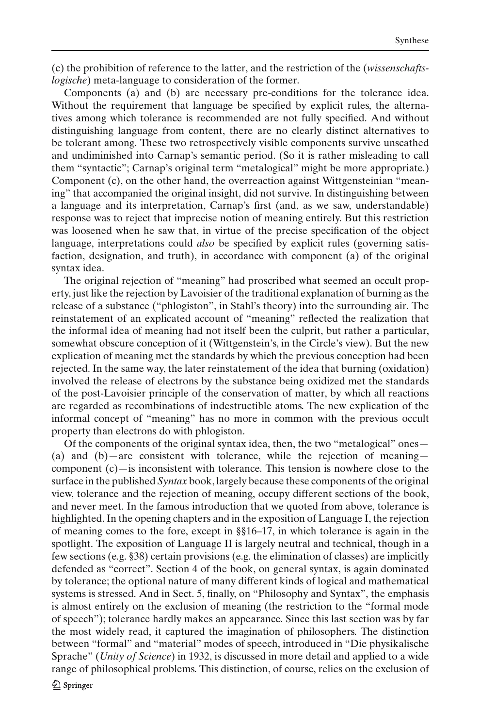(c) the prohibition of reference to the latter, and the restriction of the (*wissenschaftslogische*) meta-language to consideration of the former.

Components (a) and (b) are necessary pre-conditions for the tolerance idea. Without the requirement that language be specified by explicit rules, the alternatives among which tolerance is recommended are not fully specified. And without distinguishing language from content, there are no clearly distinct alternatives to be tolerant among. These two retrospectively visible components survive unscathed and undiminished into Carnap's semantic period. (So it is rather misleading to call them "syntactic"; Carnap's original term "metalogical" might be more appropriate.) Component (c), on the other hand, the overreaction against Wittgensteinian "meaning" that accompanied the original insight, did not survive. In distinguishing between a language and its interpretation, Carnap's first (and, as we saw, understandable) response was to reject that imprecise notion of meaning entirely. But this restriction was loosened when he saw that, in virtue of the precise specification of the object language, interpretations could *also* be specified by explicit rules (governing satisfaction, designation, and truth), in accordance with component (a) of the original syntax idea.

The original rejection of "meaning" had proscribed what seemed an occult property, just like the rejection by Lavoisier of the traditional explanation of burning as the release of a substance ("phlogiston", in Stahl's theory) into the surrounding air. The reinstatement of an explicated account of "meaning" reflected the realization that the informal idea of meaning had not itself been the culprit, but rather a particular, somewhat obscure conception of it (Wittgenstein's, in the Circle's view). But the new explication of meaning met the standards by which the previous conception had been rejected. In the same way, the later reinstatement of the idea that burning (oxidation) involved the release of electrons by the substance being oxidized met the standards of the post-Lavoisier principle of the conservation of matter, by which all reactions are regarded as recombinations of indestructible atoms. The new explication of the informal concept of "meaning" has no more in common with the previous occult property than electrons do with phlogiston.

Of the components of the original syntax idea, then, the two "metalogical" ones— (a) and  $(b)$ —are consistent with tolerance, while the rejection of meaning component  $(c)$ —is inconsistent with tolerance. This tension is nowhere close to the surface in the published *Syntax* book, largely because these components of the original view, tolerance and the rejection of meaning, occupy different sections of the book, and never meet. In the famous introduction that we quoted from above, tolerance is highlighted. In the opening chapters and in the exposition of Language I, the rejection of meaning comes to the fore, except in §§16–17, in which tolerance is again in the spotlight. The exposition of Language II is largely neutral and technical, though in a few sections (e.g. §38) certain provisions (e.g. the elimination of classes) are implicitly defended as "correct". Section 4 of the book, on general syntax, is again dominated by tolerance; the optional nature of many different kinds of logical and mathematical systems is stressed. And in Sect. 5, finally, on "Philosophy and Syntax", the emphasis is almost entirely on the exclusion of meaning (the restriction to the "formal mode of speech"); tolerance hardly makes an appearance. Since this last section was by far the most widely read, it captured the imagination of philosophers. The distinction between "formal" and "material" modes of speech, introduced in "Die physikalische Sprache" (*Unity of Science*) in 1932, is discussed in more detail and applied to a wide range of philosophical problems. This distinction, of course, relies on the exclusion of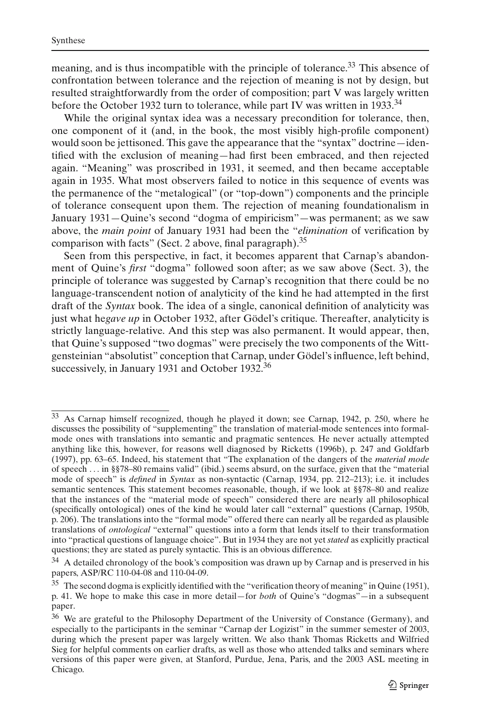meaning, and is thus incompatible with the principle of tolerance[.33](#page-20-0) This absence of confrontation between tolerance and the rejection of meaning is not by design, but resulted straightforwardly from the order of composition; part V was largely written before the October 1932 turn to tolerance, while part IV was written in 1933.<sup>[34](#page-20-1)</sup>

While the original syntax idea was a necessary precondition for tolerance, then, one component of it (and, in the book, the most visibly high-profile component) would soon be jettisoned. This gave the appearance that the "syntax" doctrine—identified with the exclusion of meaning—had first been embraced, and then rejected again. "Meaning" was proscribed in 1931, it seemed, and then became acceptable again in 1935. What most observers failed to notice in this sequence of events was the permanence of the "metalogical" (or "top-down") components and the principle of tolerance consequent upon them. The rejection of meaning foundationalism in January 1931—Quine's second "dogma of empiricism"—was permanent; as we saw above, the *main point* of January 1931 had been the "*elimination* of verification by comparison with facts" (Sect. 2 above, final paragraph).<sup>35</sup>

Seen from this perspective, in fact, it becomes apparent that Carnap's abandonment of Quine's *first* "dogma" followed soon after; as we saw above (Sect. 3), the principle of tolerance was suggested by Carnap's recognition that there could be no language-transcendent notion of analyticity of the kind he had attempted in the first draft of the *Syntax* book. The idea of a single, canonical definition of analyticity was just what he*gave up* in October 1932, after Gödel's critique. Thereafter, analyticity is strictly language-relative. And this step was also permanent. It would appear, then, that Quine's supposed "two dogmas" were precisely the two components of the Wittgensteinian "absolutist" conception that Carnap, under Gödel's influence, left behind, successively, in January 1931 and October 1932.<sup>[36](#page-20-3)</sup>

<span id="page-20-0"></span><sup>&</sup>lt;sup>33</sup> As Carnap himself recognized, though he played it down; see Carnap, 1942, p. 250, where he discusses the possibility of "supplementing" the translation of material-mode sentences into formalmode ones with translations into semantic and pragmatic sentences. He never actually attempted anything like this, however, for reasons well diagnosed by Ricketts (1996b), p. 247 and Goldfarb (1997), pp. 63–65. Indeed, his statement that "The explanation of the dangers of the *material mode* of speech *...* in §§78–80 remains valid" (ibid.) seems absurd, on the surface, given that the "material mode of speech" is *defined* in *Syntax* as non-syntactic (Carnap, 1934, pp. 212–213); i.e. it includes semantic sentences. This statement becomes reasonable, though, if we look at §§78–80 and realize that the instances of the "material mode of speech" considered there are nearly all philosophical (specifically ontological) ones of the kind he would later call "external" questions (Carnap, 1950b, p. 206). The translations into the "formal mode" offered there can nearly all be regarded as plausible translations of *ontological* "external" questions into a form that lends itself to their transformation into "practical questions of language choice". But in 1934 they are not yet *stated* as explicitly practical questions; they are stated as purely syntactic. This is an obvious difference.

<sup>&</sup>lt;sup>34</sup> A detailed chronology of the book's composition was drawn up by Carnap and is preserved in his papers, ASP/RC 110-04-08 and 110-04-09.

<span id="page-20-2"></span><span id="page-20-1"></span><sup>35</sup> The second dogma is explicitly identified with the "verification theory of meaning" in Quine (1951), p. 41. We hope to make this case in more detail—for *both* of Quine's "dogmas"—in a subsequent paper.

<span id="page-20-3"></span><sup>&</sup>lt;sup>36</sup> We are grateful to the Philosophy Department of the University of Constance (Germany), and especially to the participants in the seminar "Carnap der Logizist" in the summer semester of 2003, during which the present paper was largely written. We also thank Thomas Ricketts and Wilfried Sieg for helpful comments on earlier drafts, as well as those who attended talks and seminars where versions of this paper were given, at Stanford, Purdue, Jena, Paris, and the 2003 ASL meeting in Chicago.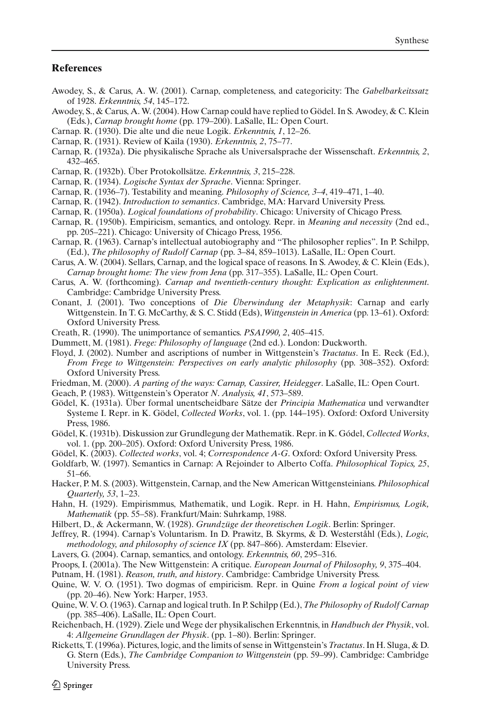#### **References**

- Awodey, S., & Carus, A. W. (2001). Carnap, completeness, and categoricity: The *Gabelbarkeitssatz* of 1928. *Erkenntnis, 54*, 145–172.
- Awodey, S., & Carus, A. W. (2004). How Carnap could have replied to Gödel. In S. Awodey, & C. Klein (Eds.), *Carnap brought home* (pp. 179–200). LaSalle, IL: Open Court.
- Carnap. R. (1930). Die alte und die neue Logik. *Erkenntnis, 1*, 12–26.
- Carnap, R. (1931). Review of Kaila (1930). *Erkenntnis, 2*, 75–77.
- Carnap, R. (1932a). Die physikalische Sprache als Universalsprache der Wissenschaft. *Erkenntnis, 2*, 432–465.
- Carnap, R. (1932b). Über Protokollsätze. *Erkenntnis, 3*, 215–228.
- Carnap, R. (1934). *Logische Syntax der Sprache*. Vienna: Springer.
- Carnap, R. (1936–7). Testability and meaning. *Philosophy of Science, 3–4*, 419–471, 1–40.
- Carnap, R. (1942). *Introduction to semantics*. Cambridge, MA: Harvard University Press.
- Carnap, R. (1950a). *Logical foundations of probability*. Chicago: University of Chicago Press.
- Carnap, R. (1950b). Empiricism, semantics, and ontology. Repr. in *Meaning and necessity* (2nd ed., pp. 205–221). Chicago: University of Chicago Press, 1956.
- Carnap, R. (1963). Carnap's intellectual autobiography and "The philosopher replies". In P. Schilpp, (Ed.), *The philosophy of Rudolf Carnap* (pp. 3–84, 859–1013). LaSalle, IL: Open Court.
- Carus, A. W. (2004). Sellars, Carnap, and the logical space of reasons. In S. Awodey, & C. Klein (Eds.), *Carnap brought home: The view from Jena* (pp. 317–355). LaSalle, IL: Open Court.
- Carus, A. W. (forthcoming). *Carnap and twentieth-century thought: Explication as enlightenment*. Cambridge: Cambridge University Press.
- Conant, J. (2001). Two conceptions of *Die Überwindung der Metaphysik*: Carnap and early Wittgenstein. In T. G. McCarthy, & S. C. Stidd (Eds), *Wittgenstein in America* (pp. 13–61). Oxford: Oxford University Press.
- Creath, R. (1990). The unimportance of semantics. *PSA1990, 2*, 405–415.
- Dummett, M. (1981). *Frege: Philosophy of language* (2nd ed.). London: Duckworth.
- Floyd, J. (2002). Number and ascriptions of number in Wittgenstein's *Tractatus*. In E. Reck (Ed.), *From Frege to Wittgenstein: Perspectives on early analytic philosophy* (pp. 308–352). Oxford: Oxford University Press.
- Friedman, M. (2000). *A parting of the ways: Carnap, Cassirer, Heidegger*. LaSalle, IL: Open Court.
- Geach, P. (1983). Wittgenstein's Operator *N*. *Analysis, 41*, 573–589.
- Gödel, K. (1931a). Über formal unentscheidbare Sätze der *Principia Mathematica* und verwandter Systeme I. Repr. in K. Gödel, *Collected Works*, vol. 1. (pp. 144–195). Oxford: Oxford University Press, 1986.
- Gödel, K. (1931b). Diskussion zur Grundlegung der Mathematik. Repr. in K. Gódel, *Collected Works*, vol. 1. (pp. 200–205). Oxford: Oxford University Press, 1986.
- Gödel, K. (2003). *Collected works*, vol. 4; *Correspondence A-G*. Oxford: Oxford University Press.
- Goldfarb, W. (1997). Semantics in Carnap: A Rejoinder to Alberto Coffa. *Philosophical Topics, 25*, 51–66.
- Hacker, P. M. S. (2003). Wittgenstein, Carnap, and the New American Wittgensteinians. *Philosophical Quarterly, 53*, 1–23.
- Hahn, H. (1929). Empirismmus, Mathematik, und Logik. Repr. in H. Hahn, *Empirismus, Logik, Mathematik* (pp. 55–58). Frankfurt/Main: Suhrkamp, 1988.
- Hilbert, D., & Ackermann, W. (1928). *Grundzüge der theoretischen Logik*. Berlin: Springer.
- Jeffrey, R. (1994). Carnap's Voluntarism. In D. Prawitz, B. Skyrms, & D. Westerståhl (Eds.), *Logic, methodology, and philosophy of science IX* (pp. 847–866). Amsterdam: Elsevier.
- Lavers, G. (2004). Carnap, semantics, and ontology. *Erkenntnis, 60*, 295–316.
- Proops, I. (2001a). The New Wittgenstein: A critique. *European Journal of Philosophy, 9*, 375–404.
- Putnam, H. (1981). *Reason, truth, and history*. Cambridge: Cambridge University Press.
- Quine, W. V. O. (1951). Two dogmas of empiricism. Repr. in Quine *From a logical point of view* (pp. 20–46). New York: Harper, 1953.
- Quine, W. V. O. (1963). Carnap and logical truth. In P. Schilpp (Ed.), *The Philosophy of Rudolf Carnap* (pp. 385–406). LaSalle, IL: Open Court.
- Reichenbach, H. (1929). Ziele und Wege der physikalischen Erkenntnis, in *Handbuch der Physik*, vol. 4: *Allgemeine Grundlagen der Physik*. (pp. 1–80). Berlin: Springer.
- Ricketts, T. (1996a). Pictures, logic, and the limits of sense in Wittgenstein's *Tractatus*. In H. Sluga, & D. G. Stern (Eds.), *The Cambridge Companion to Wittgenstein* (pp. 59–99). Cambridge: Cambridge University Press.

 $\mathcal{Q}$  Springer